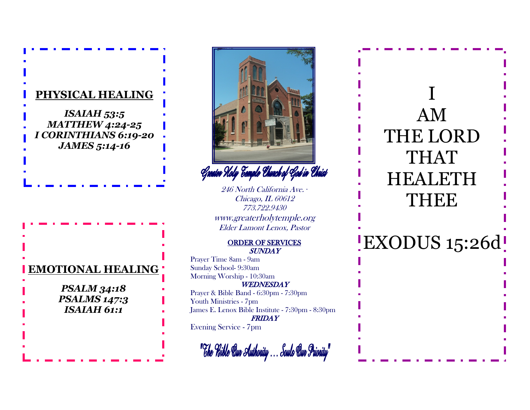



Greater Holy Eemple Ehvech of God in Ehrist

246 North California Ave. *∙* Chicago, IL 60612 773.722.9430 www.greaterholytemple.org Elder Lamont Lenox, Pastor

## ORDER OF SERVICES SUNDAY

Prayer Time 8am - 9am Sunday School- 9:30am Morning Worship - 10:30am **WEDNESDAY** Prayer & Bible Band - 6:30pm - 7:30pm Youth Ministries - 7pm James E. Lenox Bible Institute - 7:30pm - 8:30pm FRIDAY Evening Service - 7pm



## I AM THE LORD THAT HEALETH THEE

EXODUS 15:26d